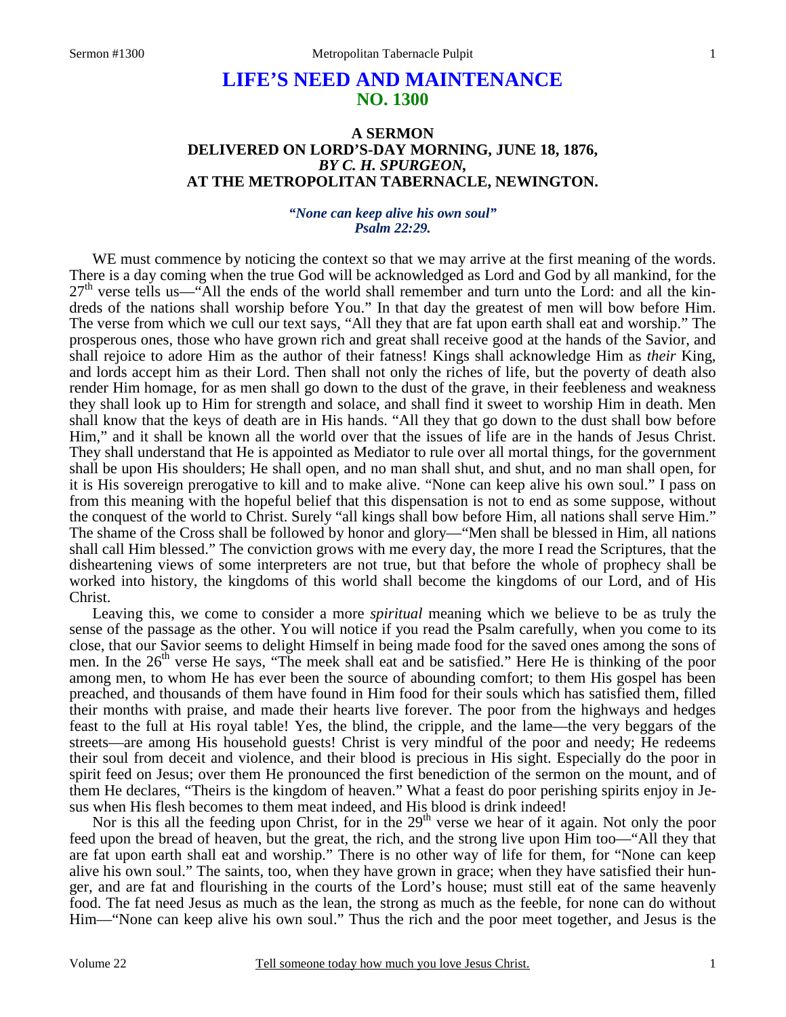# **LIFE'S NEED AND MAINTENANCE NO. 1300**

# **A SERMON DELIVERED ON LORD'S-DAY MORNING, JUNE 18, 1876,**  *BY C. H. SPURGEON,*  **AT THE METROPOLITAN TABERNACLE, NEWINGTON.**

#### *"None can keep alive his own soul" Psalm 22:29.*

WE must commence by noticing the context so that we may arrive at the first meaning of the words. There is a day coming when the true God will be acknowledged as Lord and God by all mankind, for the  $27<sup>th</sup>$  verse tells us—"All the ends of the world shall remember and turn unto the Lord: and all the kindreds of the nations shall worship before You." In that day the greatest of men will bow before Him. The verse from which we cull our text says, "All they that are fat upon earth shall eat and worship." The prosperous ones, those who have grown rich and great shall receive good at the hands of the Savior, and shall rejoice to adore Him as the author of their fatness! Kings shall acknowledge Him as *their* King, and lords accept him as their Lord. Then shall not only the riches of life, but the poverty of death also render Him homage, for as men shall go down to the dust of the grave, in their feebleness and weakness they shall look up to Him for strength and solace, and shall find it sweet to worship Him in death. Men shall know that the keys of death are in His hands. "All they that go down to the dust shall bow before Him," and it shall be known all the world over that the issues of life are in the hands of Jesus Christ. They shall understand that He is appointed as Mediator to rule over all mortal things, for the government shall be upon His shoulders; He shall open, and no man shall shut, and shut, and no man shall open, for it is His sovereign prerogative to kill and to make alive. "None can keep alive his own soul." I pass on from this meaning with the hopeful belief that this dispensation is not to end as some suppose, without the conquest of the world to Christ. Surely "all kings shall bow before Him, all nations shall serve Him." The shame of the Cross shall be followed by honor and glory—"Men shall be blessed in Him, all nations shall call Him blessed." The conviction grows with me every day, the more I read the Scriptures, that the disheartening views of some interpreters are not true, but that before the whole of prophecy shall be worked into history, the kingdoms of this world shall become the kingdoms of our Lord, and of His Christ.

 Leaving this, we come to consider a more *spiritual* meaning which we believe to be as truly the sense of the passage as the other. You will notice if you read the Psalm carefully, when you come to its close, that our Savior seems to delight Himself in being made food for the saved ones among the sons of men. In the  $26<sup>th</sup>$  verse He says, "The meek shall eat and be satisfied." Here He is thinking of the poor among men, to whom He has ever been the source of abounding comfort; to them His gospel has been preached, and thousands of them have found in Him food for their souls which has satisfied them, filled their months with praise, and made their hearts live forever. The poor from the highways and hedges feast to the full at His royal table! Yes, the blind, the cripple, and the lame—the very beggars of the streets—are among His household guests! Christ is very mindful of the poor and needy; He redeems their soul from deceit and violence, and their blood is precious in His sight. Especially do the poor in spirit feed on Jesus; over them He pronounced the first benediction of the sermon on the mount, and of them He declares, "Theirs is the kingdom of heaven." What a feast do poor perishing spirits enjoy in Jesus when His flesh becomes to them meat indeed, and His blood is drink indeed!

Nor is this all the feeding upon Christ, for in the  $29<sup>th</sup>$  verse we hear of it again. Not only the poor feed upon the bread of heaven, but the great, the rich, and the strong live upon Him too—"All they that are fat upon earth shall eat and worship." There is no other way of life for them, for "None can keep alive his own soul." The saints, too, when they have grown in grace; when they have satisfied their hunger, and are fat and flourishing in the courts of the Lord's house; must still eat of the same heavenly food. The fat need Jesus as much as the lean, the strong as much as the feeble, for none can do without Him—"None can keep alive his own soul." Thus the rich and the poor meet together, and Jesus is the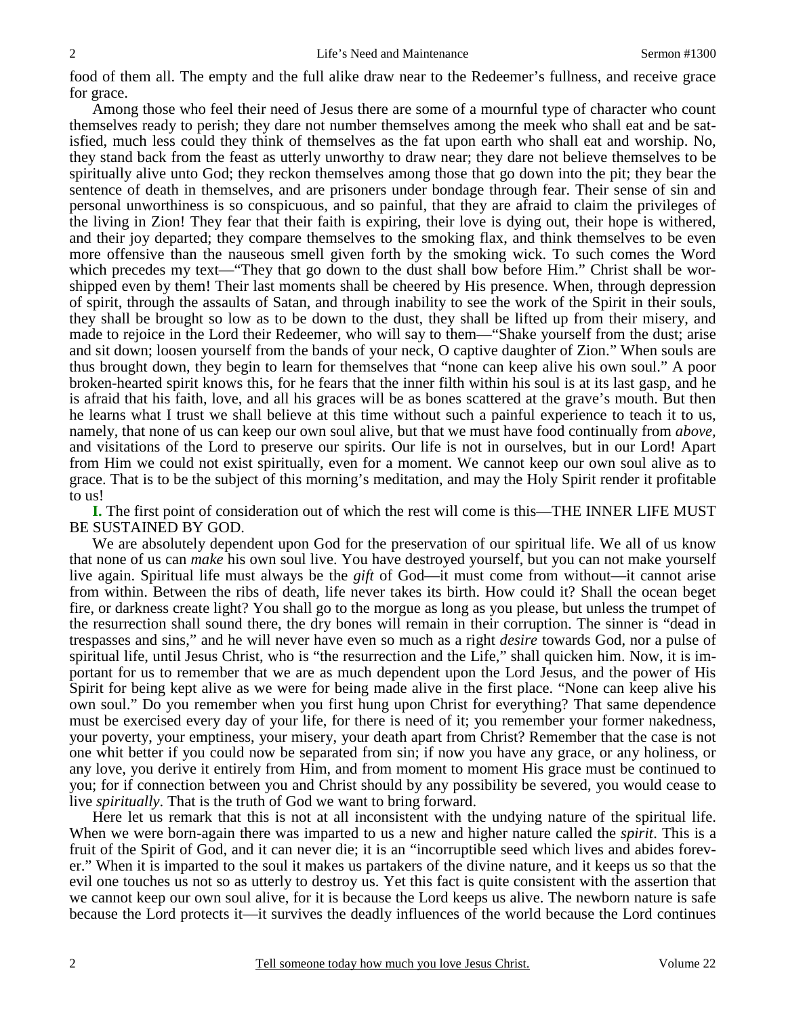food of them all. The empty and the full alike draw near to the Redeemer's fullness, and receive grace for grace.

 Among those who feel their need of Jesus there are some of a mournful type of character who count themselves ready to perish; they dare not number themselves among the meek who shall eat and be satisfied, much less could they think of themselves as the fat upon earth who shall eat and worship. No, they stand back from the feast as utterly unworthy to draw near; they dare not believe themselves to be spiritually alive unto God; they reckon themselves among those that go down into the pit; they bear the sentence of death in themselves, and are prisoners under bondage through fear. Their sense of sin and personal unworthiness is so conspicuous, and so painful, that they are afraid to claim the privileges of the living in Zion! They fear that their faith is expiring, their love is dying out, their hope is withered, and their joy departed; they compare themselves to the smoking flax, and think themselves to be even more offensive than the nauseous smell given forth by the smoking wick. To such comes the Word which precedes my text—"They that go down to the dust shall bow before Him." Christ shall be worshipped even by them! Their last moments shall be cheered by His presence. When, through depression of spirit, through the assaults of Satan, and through inability to see the work of the Spirit in their souls, they shall be brought so low as to be down to the dust, they shall be lifted up from their misery, and made to rejoice in the Lord their Redeemer, who will say to them—"Shake yourself from the dust; arise and sit down; loosen yourself from the bands of your neck, O captive daughter of Zion." When souls are thus brought down, they begin to learn for themselves that "none can keep alive his own soul." A poor broken-hearted spirit knows this, for he fears that the inner filth within his soul is at its last gasp, and he is afraid that his faith, love, and all his graces will be as bones scattered at the grave's mouth. But then he learns what I trust we shall believe at this time without such a painful experience to teach it to us, namely, that none of us can keep our own soul alive, but that we must have food continually from *above,* and visitations of the Lord to preserve our spirits. Our life is not in ourselves, but in our Lord! Apart from Him we could not exist spiritually, even for a moment. We cannot keep our own soul alive as to grace. That is to be the subject of this morning's meditation, and may the Holy Spirit render it profitable to us!

**I.** The first point of consideration out of which the rest will come is this—THE INNER LIFE MUST BE SUSTAINED BY GOD.

 We are absolutely dependent upon God for the preservation of our spiritual life. We all of us know that none of us can *make* his own soul live. You have destroyed yourself, but you can not make yourself live again. Spiritual life must always be the *gift* of God—it must come from without—it cannot arise from within. Between the ribs of death, life never takes its birth. How could it? Shall the ocean beget fire, or darkness create light? You shall go to the morgue as long as you please, but unless the trumpet of the resurrection shall sound there, the dry bones will remain in their corruption. The sinner is "dead in trespasses and sins," and he will never have even so much as a right *desire* towards God, nor a pulse of spiritual life, until Jesus Christ, who is "the resurrection and the Life," shall quicken him. Now, it is important for us to remember that we are as much dependent upon the Lord Jesus, and the power of His Spirit for being kept alive as we were for being made alive in the first place. "None can keep alive his own soul." Do you remember when you first hung upon Christ for everything? That same dependence must be exercised every day of your life, for there is need of it; you remember your former nakedness, your poverty, your emptiness, your misery, your death apart from Christ? Remember that the case is not one whit better if you could now be separated from sin; if now you have any grace, or any holiness, or any love, you derive it entirely from Him, and from moment to moment His grace must be continued to you; for if connection between you and Christ should by any possibility be severed, you would cease to live *spiritually*. That is the truth of God we want to bring forward.

 Here let us remark that this is not at all inconsistent with the undying nature of the spiritual life. When we were born-again there was imparted to us a new and higher nature called the *spirit*. This is a fruit of the Spirit of God, and it can never die; it is an "incorruptible seed which lives and abides forever." When it is imparted to the soul it makes us partakers of the divine nature, and it keeps us so that the evil one touches us not so as utterly to destroy us. Yet this fact is quite consistent with the assertion that we cannot keep our own soul alive, for it is because the Lord keeps us alive. The newborn nature is safe because the Lord protects it—it survives the deadly influences of the world because the Lord continues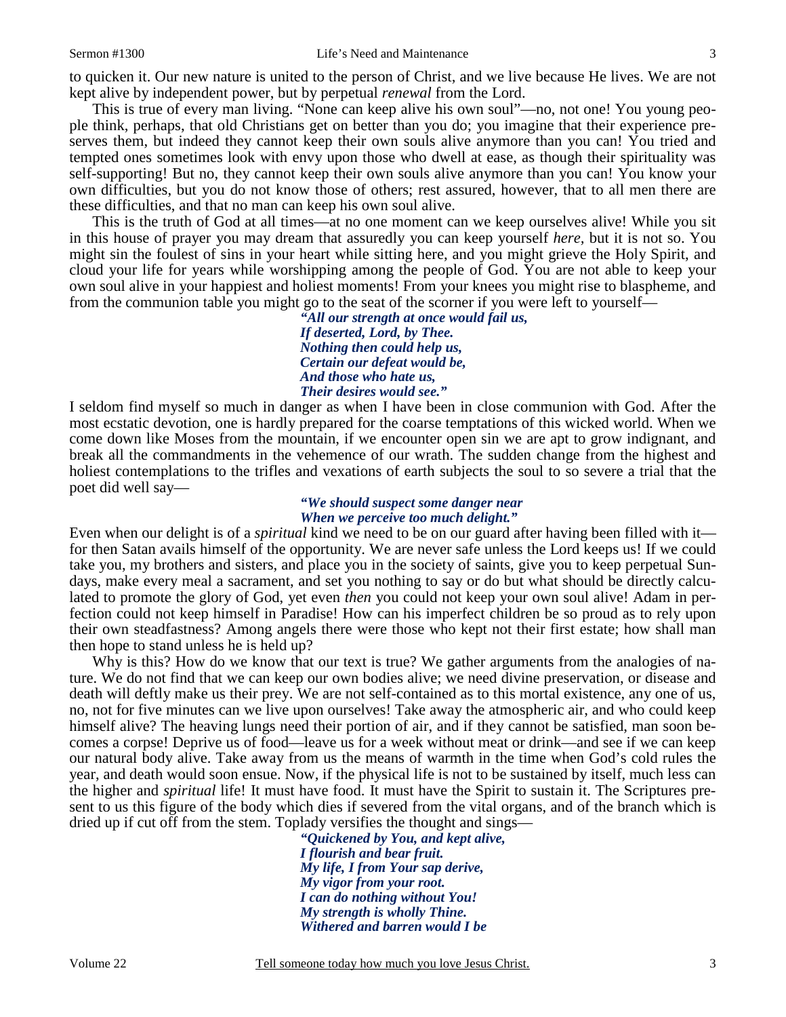This is true of every man living. "None can keep alive his own soul"—no, not one! You young people think, perhaps, that old Christians get on better than you do; you imagine that their experience preserves them, but indeed they cannot keep their own souls alive anymore than you can! You tried and tempted ones sometimes look with envy upon those who dwell at ease, as though their spirituality was self-supporting! But no, they cannot keep their own souls alive anymore than you can! You know your own difficulties, but you do not know those of others; rest assured, however, that to all men there are these difficulties, and that no man can keep his own soul alive.

 This is the truth of God at all times—at no one moment can we keep ourselves alive! While you sit in this house of prayer you may dream that assuredly you can keep yourself *here,* but it is not so. You might sin the foulest of sins in your heart while sitting here, and you might grieve the Holy Spirit, and cloud your life for years while worshipping among the people of God. You are not able to keep your own soul alive in your happiest and holiest moments! From your knees you might rise to blaspheme, and from the communion table you might go to the seat of the scorner if you were left to yourself—

*"All our strength at once would fail us, If deserted, Lord, by Thee. Nothing then could help us, Certain our defeat would be, And those who hate us, Their desires would see."* 

I seldom find myself so much in danger as when I have been in close communion with God. After the most ecstatic devotion, one is hardly prepared for the coarse temptations of this wicked world. When we come down like Moses from the mountain, if we encounter open sin we are apt to grow indignant, and break all the commandments in the vehemence of our wrath. The sudden change from the highest and holiest contemplations to the trifles and vexations of earth subjects the soul to so severe a trial that the poet did well say—

## *"We should suspect some danger near When we perceive too much delight."*

Even when our delight is of a *spiritual* kind we need to be on our guard after having been filled with it for then Satan avails himself of the opportunity. We are never safe unless the Lord keeps us! If we could take you, my brothers and sisters, and place you in the society of saints, give you to keep perpetual Sundays, make every meal a sacrament, and set you nothing to say or do but what should be directly calculated to promote the glory of God, yet even *then* you could not keep your own soul alive! Adam in perfection could not keep himself in Paradise! How can his imperfect children be so proud as to rely upon their own steadfastness? Among angels there were those who kept not their first estate; how shall man then hope to stand unless he is held up?

Why is this? How do we know that our text is true? We gather arguments from the analogies of nature. We do not find that we can keep our own bodies alive; we need divine preservation, or disease and death will deftly make us their prey. We are not self-contained as to this mortal existence, any one of us, no, not for five minutes can we live upon ourselves! Take away the atmospheric air, and who could keep himself alive? The heaving lungs need their portion of air, and if they cannot be satisfied, man soon becomes a corpse! Deprive us of food—leave us for a week without meat or drink—and see if we can keep our natural body alive. Take away from us the means of warmth in the time when God's cold rules the year, and death would soon ensue. Now, if the physical life is not to be sustained by itself, much less can the higher and *spiritual* life! It must have food. It must have the Spirit to sustain it. The Scriptures present to us this figure of the body which dies if severed from the vital organs, and of the branch which is dried up if cut off from the stem. Toplady versifies the thought and sings—

*"Quickened by You, and kept alive, I flourish and bear fruit. My life, I from Your sap derive, My vigor from your root. I can do nothing without You! My strength is wholly Thine. Withered and barren would I be*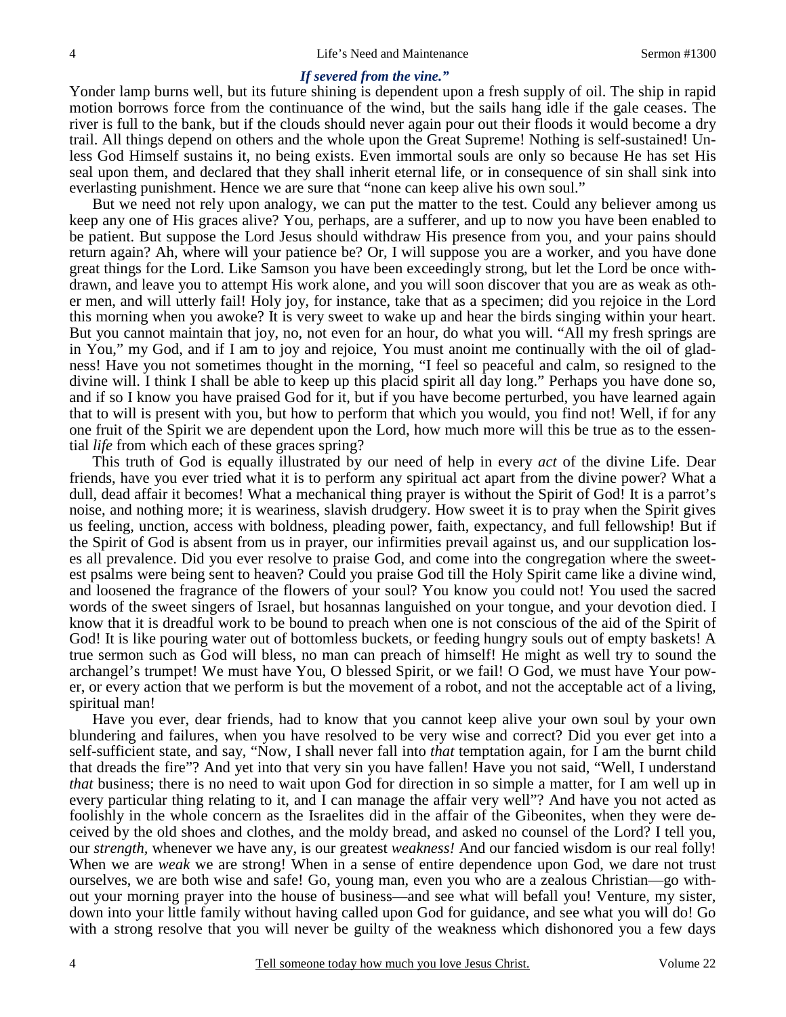#### *If severed from the vine."*

Yonder lamp burns well, but its future shining is dependent upon a fresh supply of oil. The ship in rapid motion borrows force from the continuance of the wind, but the sails hang idle if the gale ceases. The river is full to the bank, but if the clouds should never again pour out their floods it would become a dry trail. All things depend on others and the whole upon the Great Supreme! Nothing is self-sustained! Unless God Himself sustains it, no being exists. Even immortal souls are only so because He has set His seal upon them, and declared that they shall inherit eternal life, or in consequence of sin shall sink into everlasting punishment. Hence we are sure that "none can keep alive his own soul."

 But we need not rely upon analogy, we can put the matter to the test. Could any believer among us keep any one of His graces alive? You, perhaps, are a sufferer, and up to now you have been enabled to be patient. But suppose the Lord Jesus should withdraw His presence from you, and your pains should return again? Ah, where will your patience be? Or, I will suppose you are a worker, and you have done great things for the Lord. Like Samson you have been exceedingly strong, but let the Lord be once withdrawn, and leave you to attempt His work alone, and you will soon discover that you are as weak as other men, and will utterly fail! Holy joy, for instance, take that as a specimen; did you rejoice in the Lord this morning when you awoke? It is very sweet to wake up and hear the birds singing within your heart. But you cannot maintain that joy, no, not even for an hour, do what you will. "All my fresh springs are in You," my God, and if I am to joy and rejoice, You must anoint me continually with the oil of gladness! Have you not sometimes thought in the morning, "I feel so peaceful and calm, so resigned to the divine will. I think I shall be able to keep up this placid spirit all day long." Perhaps you have done so, and if so I know you have praised God for it, but if you have become perturbed, you have learned again that to will is present with you, but how to perform that which you would, you find not! Well, if for any one fruit of the Spirit we are dependent upon the Lord, how much more will this be true as to the essential *life* from which each of these graces spring?

 This truth of God is equally illustrated by our need of help in every *act* of the divine Life. Dear friends, have you ever tried what it is to perform any spiritual act apart from the divine power? What a dull, dead affair it becomes! What a mechanical thing prayer is without the Spirit of God! It is a parrot's noise, and nothing more; it is weariness, slavish drudgery. How sweet it is to pray when the Spirit gives us feeling, unction, access with boldness, pleading power, faith, expectancy, and full fellowship! But if the Spirit of God is absent from us in prayer, our infirmities prevail against us, and our supplication loses all prevalence. Did you ever resolve to praise God, and come into the congregation where the sweetest psalms were being sent to heaven? Could you praise God till the Holy Spirit came like a divine wind, and loosened the fragrance of the flowers of your soul? You know you could not! You used the sacred words of the sweet singers of Israel, but hosannas languished on your tongue, and your devotion died. I know that it is dreadful work to be bound to preach when one is not conscious of the aid of the Spirit of God! It is like pouring water out of bottomless buckets, or feeding hungry souls out of empty baskets! A true sermon such as God will bless, no man can preach of himself! He might as well try to sound the archangel's trumpet! We must have You, O blessed Spirit, or we fail! O God, we must have Your power, or every action that we perform is but the movement of a robot, and not the acceptable act of a living, spiritual man!

 Have you ever, dear friends, had to know that you cannot keep alive your own soul by your own blundering and failures, when you have resolved to be very wise and correct? Did you ever get into a self-sufficient state, and say, "Now, I shall never fall into *that* temptation again, for I am the burnt child that dreads the fire"? And yet into that very sin you have fallen! Have you not said, "Well, I understand *that* business; there is no need to wait upon God for direction in so simple a matter, for I am well up in every particular thing relating to it, and I can manage the affair very well"? And have you not acted as foolishly in the whole concern as the Israelites did in the affair of the Gibeonites, when they were deceived by the old shoes and clothes, and the moldy bread, and asked no counsel of the Lord? I tell you, our *strength,* whenever we have any, is our greatest *weakness!* And our fancied wisdom is our real folly! When we are *weak* we are strong! When in a sense of entire dependence upon God, we dare not trust ourselves, we are both wise and safe! Go, young man, even you who are a zealous Christian—go without your morning prayer into the house of business—and see what will befall you! Venture, my sister, down into your little family without having called upon God for guidance, and see what you will do! Go with a strong resolve that you will never be guilty of the weakness which dishonored you a few days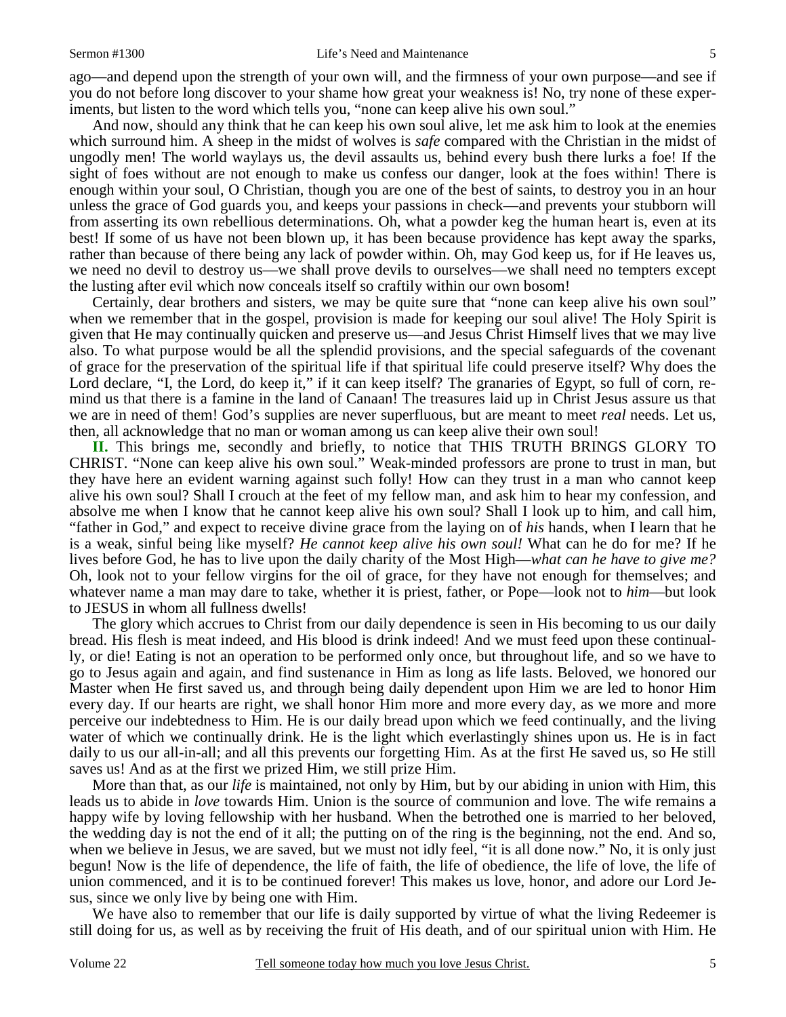ago—and depend upon the strength of your own will, and the firmness of your own purpose—and see if you do not before long discover to your shame how great your weakness is! No, try none of these experiments, but listen to the word which tells you, "none can keep alive his own soul."

 And now, should any think that he can keep his own soul alive, let me ask him to look at the enemies which surround him. A sheep in the midst of wolves is *safe* compared with the Christian in the midst of ungodly men! The world waylays us, the devil assaults us, behind every bush there lurks a foe! If the sight of foes without are not enough to make us confess our danger, look at the foes within! There is enough within your soul, O Christian, though you are one of the best of saints, to destroy you in an hour unless the grace of God guards you, and keeps your passions in check—and prevents your stubborn will from asserting its own rebellious determinations. Oh, what a powder keg the human heart is, even at its best! If some of us have not been blown up, it has been because providence has kept away the sparks, rather than because of there being any lack of powder within. Oh, may God keep us, for if He leaves us, we need no devil to destroy us—we shall prove devils to ourselves—we shall need no tempters except the lusting after evil which now conceals itself so craftily within our own bosom!

 Certainly, dear brothers and sisters, we may be quite sure that "none can keep alive his own soul" when we remember that in the gospel, provision is made for keeping our soul alive! The Holy Spirit is given that He may continually quicken and preserve us—and Jesus Christ Himself lives that we may live also. To what purpose would be all the splendid provisions, and the special safeguards of the covenant of grace for the preservation of the spiritual life if that spiritual life could preserve itself? Why does the Lord declare, "I, the Lord, do keep it," if it can keep itself? The granaries of Egypt, so full of corn, remind us that there is a famine in the land of Canaan! The treasures laid up in Christ Jesus assure us that we are in need of them! God's supplies are never superfluous, but are meant to meet *real* needs. Let us, then, all acknowledge that no man or woman among us can keep alive their own soul!

**II.** This brings me, secondly and briefly, to notice that THIS TRUTH BRINGS GLORY TO CHRIST. "None can keep alive his own soul." Weak-minded professors are prone to trust in man, but they have here an evident warning against such folly! How can they trust in a man who cannot keep alive his own soul? Shall I crouch at the feet of my fellow man, and ask him to hear my confession, and absolve me when I know that he cannot keep alive his own soul? Shall I look up to him, and call him, "father in God," and expect to receive divine grace from the laying on of *his* hands, when I learn that he is a weak, sinful being like myself? *He cannot keep alive his own soul!* What can he do for me? If he lives before God, he has to live upon the daily charity of the Most High—*what can he have to give me?* Oh, look not to your fellow virgins for the oil of grace, for they have not enough for themselves; and whatever name a man may dare to take, whether it is priest, father, or Pope—look not to *him*—but look to JESUS in whom all fullness dwells!

 The glory which accrues to Christ from our daily dependence is seen in His becoming to us our daily bread. His flesh is meat indeed, and His blood is drink indeed! And we must feed upon these continually, or die! Eating is not an operation to be performed only once, but throughout life, and so we have to go to Jesus again and again, and find sustenance in Him as long as life lasts. Beloved, we honored our Master when He first saved us, and through being daily dependent upon Him we are led to honor Him every day. If our hearts are right, we shall honor Him more and more every day, as we more and more perceive our indebtedness to Him. He is our daily bread upon which we feed continually, and the living water of which we continually drink. He is the light which everlastingly shines upon us. He is in fact daily to us our all-in-all; and all this prevents our forgetting Him. As at the first He saved us, so He still saves us! And as at the first we prized Him, we still prize Him.

 More than that, as our *life* is maintained, not only by Him, but by our abiding in union with Him, this leads us to abide in *love* towards Him. Union is the source of communion and love. The wife remains a happy wife by loving fellowship with her husband. When the betrothed one is married to her beloved, the wedding day is not the end of it all; the putting on of the ring is the beginning, not the end. And so, when we believe in Jesus, we are saved, but we must not idly feel, "it is all done now." No, it is only just begun! Now is the life of dependence, the life of faith, the life of obedience, the life of love, the life of union commenced, and it is to be continued forever! This makes us love, honor, and adore our Lord Jesus, since we only live by being one with Him.

We have also to remember that our life is daily supported by virtue of what the living Redeemer is still doing for us, as well as by receiving the fruit of His death, and of our spiritual union with Him. He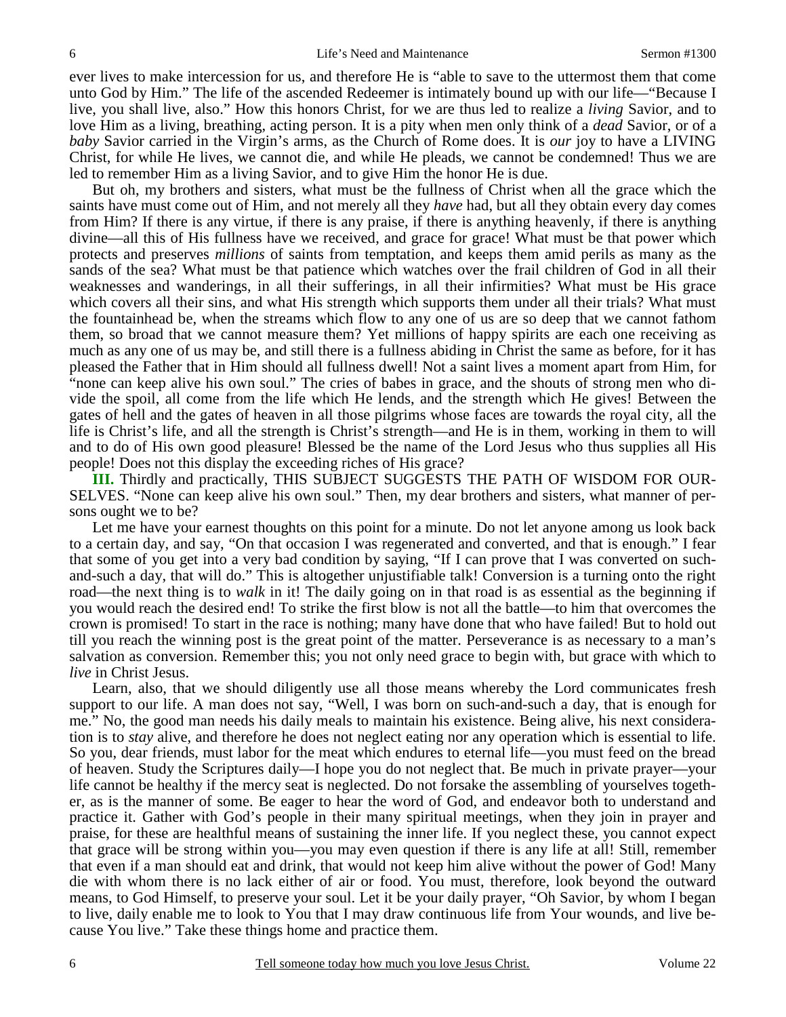ever lives to make intercession for us, and therefore He is "able to save to the uttermost them that come unto God by Him." The life of the ascended Redeemer is intimately bound up with our life—"Because I live, you shall live, also." How this honors Christ, for we are thus led to realize a *living* Savior, and to love Him as a living, breathing, acting person. It is a pity when men only think of a *dead* Savior, or of a *baby* Savior carried in the Virgin's arms, as the Church of Rome does. It is *our* joy to have a LIVING Christ, for while He lives, we cannot die, and while He pleads, we cannot be condemned! Thus we are led to remember Him as a living Savior, and to give Him the honor He is due.

 But oh, my brothers and sisters, what must be the fullness of Christ when all the grace which the saints have must come out of Him, and not merely all they *have* had, but all they obtain every day comes from Him? If there is any virtue, if there is any praise, if there is anything heavenly, if there is anything divine—all this of His fullness have we received, and grace for grace! What must be that power which protects and preserves *millions* of saints from temptation, and keeps them amid perils as many as the sands of the sea? What must be that patience which watches over the frail children of God in all their weaknesses and wanderings, in all their sufferings, in all their infirmities? What must be His grace which covers all their sins, and what His strength which supports them under all their trials? What must the fountainhead be, when the streams which flow to any one of us are so deep that we cannot fathom them, so broad that we cannot measure them? Yet millions of happy spirits are each one receiving as much as any one of us may be, and still there is a fullness abiding in Christ the same as before, for it has pleased the Father that in Him should all fullness dwell! Not a saint lives a moment apart from Him, for "none can keep alive his own soul." The cries of babes in grace, and the shouts of strong men who divide the spoil, all come from the life which He lends, and the strength which He gives! Between the gates of hell and the gates of heaven in all those pilgrims whose faces are towards the royal city, all the life is Christ's life, and all the strength is Christ's strength—and He is in them, working in them to will and to do of His own good pleasure! Blessed be the name of the Lord Jesus who thus supplies all His people! Does not this display the exceeding riches of His grace?

**III.** Thirdly and practically, THIS SUBJECT SUGGESTS THE PATH OF WISDOM FOR OUR-SELVES. "None can keep alive his own soul." Then, my dear brothers and sisters, what manner of persons ought we to be?

 Let me have your earnest thoughts on this point for a minute. Do not let anyone among us look back to a certain day, and say, "On that occasion I was regenerated and converted, and that is enough." I fear that some of you get into a very bad condition by saying, "If I can prove that I was converted on suchand-such a day, that will do." This is altogether unjustifiable talk! Conversion is a turning onto the right road—the next thing is to *walk* in it! The daily going on in that road is as essential as the beginning if you would reach the desired end! To strike the first blow is not all the battle—to him that overcomes the crown is promised! To start in the race is nothing; many have done that who have failed! But to hold out till you reach the winning post is the great point of the matter. Perseverance is as necessary to a man's salvation as conversion. Remember this; you not only need grace to begin with, but grace with which to *live* in Christ Jesus.

 Learn, also, that we should diligently use all those means whereby the Lord communicates fresh support to our life. A man does not say, "Well, I was born on such-and-such a day, that is enough for me." No, the good man needs his daily meals to maintain his existence. Being alive, his next consideration is to *stay* alive, and therefore he does not neglect eating nor any operation which is essential to life. So you, dear friends, must labor for the meat which endures to eternal life—you must feed on the bread of heaven. Study the Scriptures daily—I hope you do not neglect that. Be much in private prayer—your life cannot be healthy if the mercy seat is neglected. Do not forsake the assembling of yourselves together, as is the manner of some. Be eager to hear the word of God, and endeavor both to understand and practice it. Gather with God's people in their many spiritual meetings, when they join in prayer and praise, for these are healthful means of sustaining the inner life. If you neglect these, you cannot expect that grace will be strong within you—you may even question if there is any life at all! Still, remember that even if a man should eat and drink, that would not keep him alive without the power of God! Many die with whom there is no lack either of air or food. You must, therefore, look beyond the outward means, to God Himself, to preserve your soul. Let it be your daily prayer, "Oh Savior, by whom I began to live, daily enable me to look to You that I may draw continuous life from Your wounds, and live because You live." Take these things home and practice them.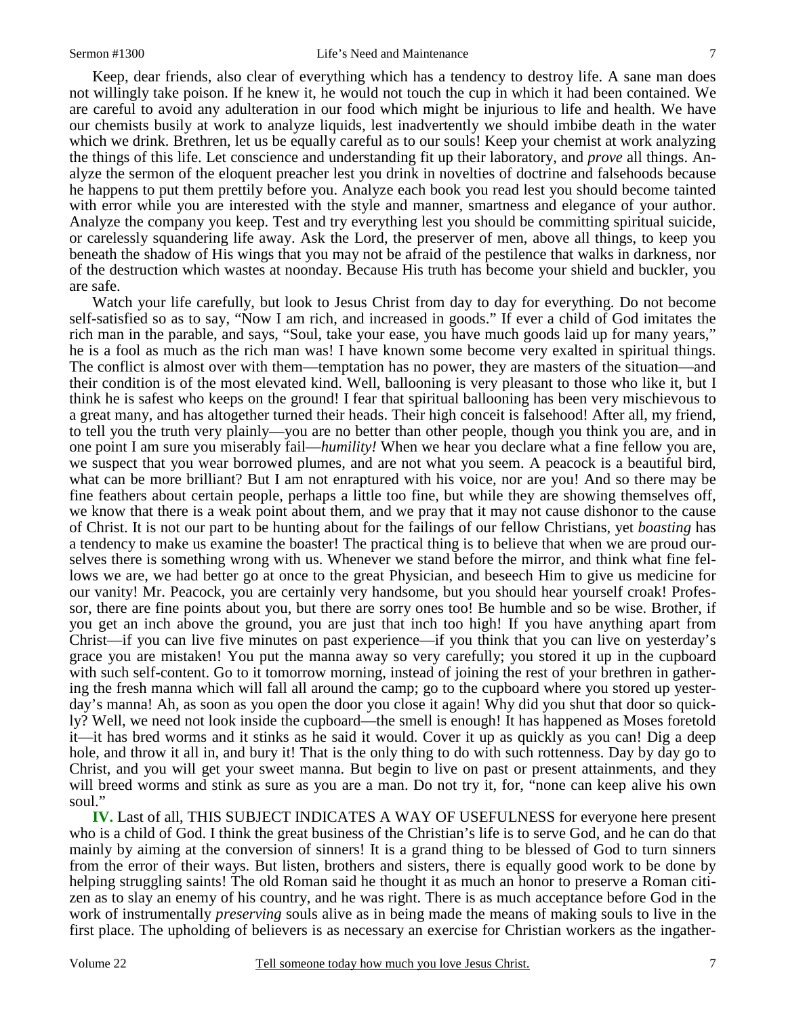Keep, dear friends, also clear of everything which has a tendency to destroy life. A sane man does not willingly take poison. If he knew it, he would not touch the cup in which it had been contained. We are careful to avoid any adulteration in our food which might be injurious to life and health. We have our chemists busily at work to analyze liquids, lest inadvertently we should imbibe death in the water which we drink. Brethren, let us be equally careful as to our souls! Keep your chemist at work analyzing the things of this life. Let conscience and understanding fit up their laboratory, and *prove* all things. Analyze the sermon of the eloquent preacher lest you drink in novelties of doctrine and falsehoods because he happens to put them prettily before you. Analyze each book you read lest you should become tainted with error while you are interested with the style and manner, smartness and elegance of your author. Analyze the company you keep. Test and try everything lest you should be committing spiritual suicide, or carelessly squandering life away. Ask the Lord, the preserver of men, above all things, to keep you beneath the shadow of His wings that you may not be afraid of the pestilence that walks in darkness, nor of the destruction which wastes at noonday. Because His truth has become your shield and buckler, you are safe.

 Watch your life carefully, but look to Jesus Christ from day to day for everything. Do not become self-satisfied so as to say, "Now I am rich, and increased in goods." If ever a child of God imitates the rich man in the parable, and says, "Soul, take your ease, you have much goods laid up for many years," he is a fool as much as the rich man was! I have known some become very exalted in spiritual things. The conflict is almost over with them—temptation has no power, they are masters of the situation—and their condition is of the most elevated kind. Well, ballooning is very pleasant to those who like it, but I think he is safest who keeps on the ground! I fear that spiritual ballooning has been very mischievous to a great many, and has altogether turned their heads. Their high conceit is falsehood! After all, my friend, to tell you the truth very plainly—you are no better than other people, though you think you are, and in one point I am sure you miserably fail—*humility!* When we hear you declare what a fine fellow you are, we suspect that you wear borrowed plumes, and are not what you seem. A peacock is a beautiful bird, what can be more brilliant? But I am not enraptured with his voice, nor are you! And so there may be fine feathers about certain people, perhaps a little too fine, but while they are showing themselves off, we know that there is a weak point about them, and we pray that it may not cause dishonor to the cause of Christ. It is not our part to be hunting about for the failings of our fellow Christians, yet *boasting* has a tendency to make us examine the boaster! The practical thing is to believe that when we are proud ourselves there is something wrong with us. Whenever we stand before the mirror, and think what fine fellows we are, we had better go at once to the great Physician, and beseech Him to give us medicine for our vanity! Mr. Peacock, you are certainly very handsome, but you should hear yourself croak! Professor, there are fine points about you, but there are sorry ones too! Be humble and so be wise. Brother, if you get an inch above the ground, you are just that inch too high! If you have anything apart from Christ—if you can live five minutes on past experience—if you think that you can live on yesterday's grace you are mistaken! You put the manna away so very carefully; you stored it up in the cupboard with such self-content. Go to it tomorrow morning, instead of joining the rest of your brethren in gathering the fresh manna which will fall all around the camp; go to the cupboard where you stored up yesterday's manna! Ah, as soon as you open the door you close it again! Why did you shut that door so quickly? Well, we need not look inside the cupboard—the smell is enough! It has happened as Moses foretold it—it has bred worms and it stinks as he said it would. Cover it up as quickly as you can! Dig a deep hole, and throw it all in, and bury it! That is the only thing to do with such rottenness. Day by day go to Christ, and you will get your sweet manna. But begin to live on past or present attainments, and they will breed worms and stink as sure as you are a man. Do not try it, for, "none can keep alive his own soul."

**IV.** Last of all, THIS SUBJECT INDICATES A WAY OF USEFULNESS for everyone here present who is a child of God. I think the great business of the Christian's life is to serve God, and he can do that mainly by aiming at the conversion of sinners! It is a grand thing to be blessed of God to turn sinners from the error of their ways. But listen, brothers and sisters, there is equally good work to be done by helping struggling saints! The old Roman said he thought it as much an honor to preserve a Roman citizen as to slay an enemy of his country, and he was right. There is as much acceptance before God in the work of instrumentally *preserving* souls alive as in being made the means of making souls to live in the first place. The upholding of believers is as necessary an exercise for Christian workers as the ingather